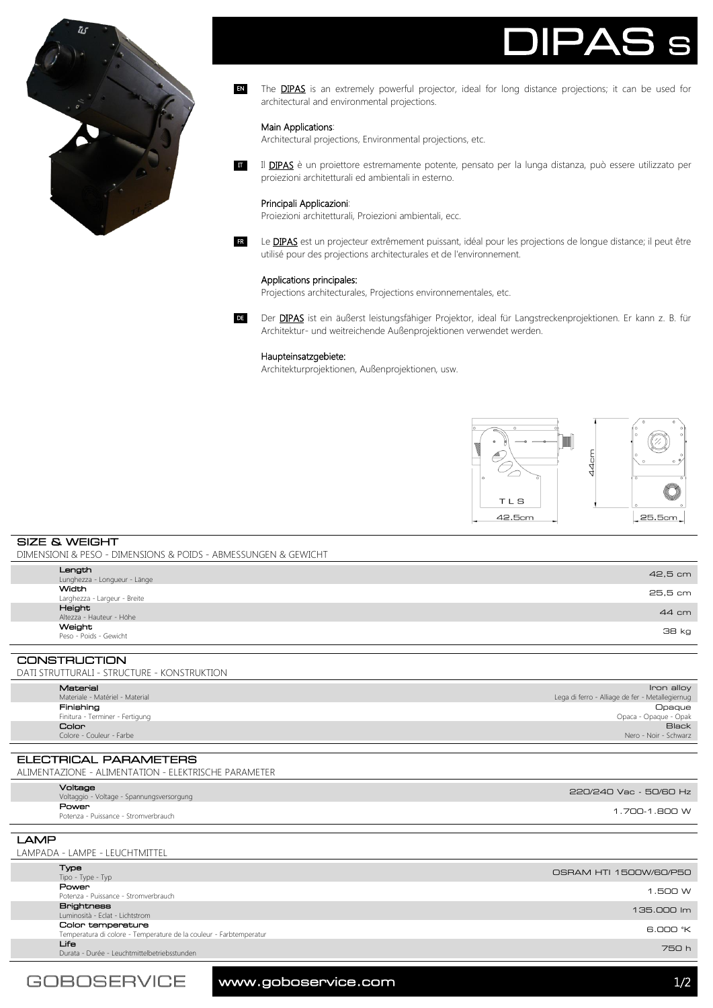



The **DIPAS** is an extremely powerful projector, ideal for long distance projections; it can be used for architectural and environmental projections. EN

### Main Applications:

Architectural projections, Environmental projections, etc.

Il **DIPAS** è un proiettore estremamente potente, pensato per la lunga distanza, può essere utilizzato per proiezioni architetturali ed ambientali in esterno. IT

## Principali Applicazioni:

Proiezioni architetturali, Proiezioni ambientali, ecc.

Le **DIPAS** est un projecteur extrêmement puissant, idéal pour les projections de longue distance; il peut être utilisé pour des projections architecturales et de l'environnement. FR

# Applications principales:

Projections architecturales, Projections environnementales, etc.

DE Der DIPAS ist ein äußerst leistungsfähiger Projektor, ideal für Langstreckenprojektionen. Er kann z. B. für Architektur- und weitreichende Außenprojektionen verwendet werden.

### Haupteinsatzgebiete:

Architekturprojektionen, Außenprojektionen, usw.



SIZE & WEIGHT DIMENSIONI & PESO - DIMENSIONS & POIDS - ABMESSUNGEN & GEWICHT

| Weight<br>Peso - Poids - Gewicht | 38 kg   |
|----------------------------------|---------|
| Altezza - Hauteur - Höhe         | 44 cm   |
| Height                           |         |
| Larghezza - Largeur - Breite     | 25,5 cm |
| Width                            |         |
| Lunghezza - Longueur - Länge     | 42,5 cm |
| Length                           |         |
|                                  |         |

CONSTRUCTION DATI STRUTTURALI - STRUCTURE - KONSTRUKTION

|  | Material                        | Iron alloy                                      |  |  |
|--|---------------------------------|-------------------------------------------------|--|--|
|  | Materiale - Matériel - Material | Lega di ferro - Alliage de fer - Metallegiernug |  |  |
|  | Finishing                       | Opaque                                          |  |  |
|  | Finitura - Terminer - Fertigung | Opaca - Opaque - Opak                           |  |  |
|  | Color                           | <b>Black</b>                                    |  |  |
|  | Colore - Couleur - Farbe        | Nero - Noir - Schwarz                           |  |  |
|  |                                 |                                                 |  |  |

ELECTRICAL PARAMETERS ALIMENTAZIONE - ALIMENTATION - ELEKTRISCHE PARAMETER

| Voltage<br>Voltaggio - Voltage - Spannungsversorgung | 220/240 Vac - 50/60 Hz |
|------------------------------------------------------|------------------------|
| Power<br>Potenza - Puissance - Stromverbrauch        | 1.700-1.800 W          |

LAMP LAMPADA - LAMPE - LEUCHTMITTEL Type<br>Tipo - Type - Typ Tipo - Type - Type - Type - Type - Type - Type - Type - Type - Type - Type - Type - Type - Type - Type - Type - Type - Type - Type - Type - Type - Type - Type - Type - Type - Type - Type - Type - Type - Type - Type - Type - Political Political Accords (1.500 W) and the strong of the strong of the strong of the strong of the strong of the strong of the strong of the strong of the strong of the strong of the strong of the strong of the strong **Brightness**<br>Luminosità - Eclat - Lichtstrom Luminosità - Eclat - Lichtstrom 135.000 lm 135.000 lm 135.000 lm 135.000 lm 135.000 lm 135.000 lm 135.000 lm 1  $B$  OOO  $K$ Color temperature Temperatura di colore - Temperature de la couleur - Farbtemperatur 6.000 °K m von de Leuchtmittelbetriebsstunden von de Amerikaanse verschieden van de Amerikaanse verschieden van de Amerikaanse verschieden van de Amerikaanse verschieden van de Amerikaanse verschieden van de Amerikaanse verschieden

www.goboservice.com and the state of  $1/2$